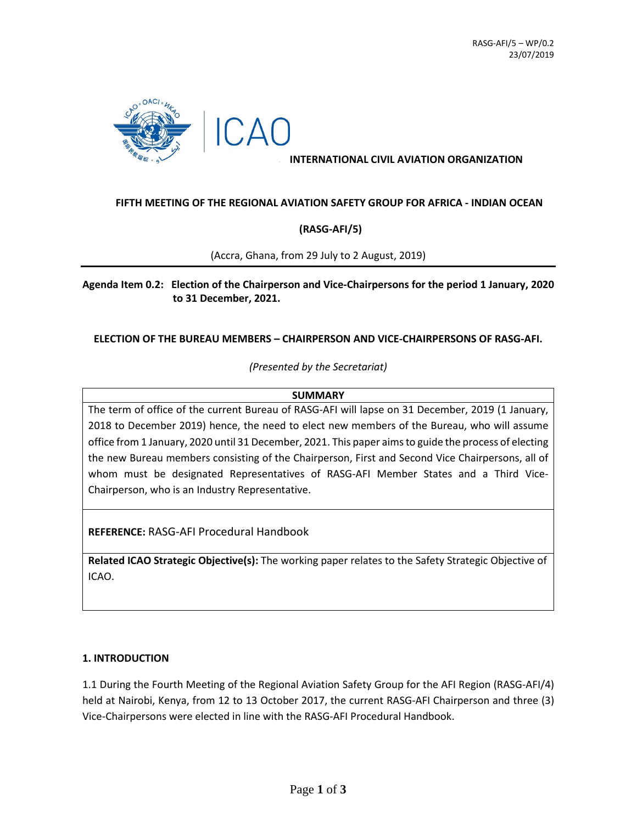

## **INTERNATIONAL CIVIL AVIATION ORGANIZATION**

## **FIFTH MEETING OF THE REGIONAL AVIATION SAFETY GROUP FOR AFRICA - INDIAN OCEAN**

## **(RASG-AFI/5)**

(Accra, Ghana, from 29 July to 2 August, 2019)

**Agenda Item 0.2: Election of the Chairperson and Vice-Chairpersons for the period 1 January, 2020 to 31 December, 2021.**

## **ELECTION OF THE BUREAU MEMBERS – CHAIRPERSON AND VICE-CHAIRPERSONS OF RASG-AFI.**

*(Presented by the Secretariat)*

#### **SUMMARY**

The term of office of the current Bureau of RASG-AFI will lapse on 31 December, 2019 (1 January, 2018 to December 2019) hence, the need to elect new members of the Bureau, who will assume office from 1 January, 2020 until 31 December, 2021. This paper aims to guide the process of electing the new Bureau members consisting of the Chairperson, First and Second Vice Chairpersons, all of whom must be designated Representatives of RASG-AFI Member States and a Third Vice-Chairperson, who is an Industry Representative.

**REFERENCE:** RASG-AFI Procedural Handbook

**Related ICAO Strategic Objective(s):** The working paper relates to the Safety Strategic Objective of ICAO.

#### **1. INTRODUCTION**

1.1 During the Fourth Meeting of the Regional Aviation Safety Group for the AFI Region (RASG-AFI/4) held at Nairobi, Kenya, from 12 to 13 October 2017, the current RASG-AFI Chairperson and three (3) Vice-Chairpersons were elected in line with the RASG-AFI Procedural Handbook.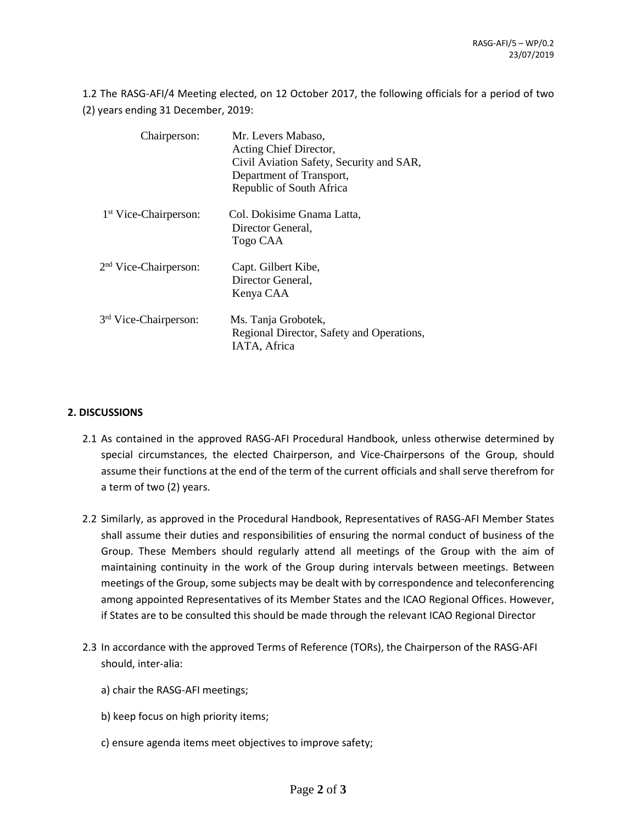1.2 The RASG-AFI/4 Meeting elected, on 12 October 2017, the following officials for a period of two (2) years ending 31 December, 2019:

| Chairperson:                      | Mr. Levers Mabaso,<br>Acting Chief Director,<br>Civil Aviation Safety, Security and SAR,<br>Department of Transport,<br>Republic of South Africa |
|-----------------------------------|--------------------------------------------------------------------------------------------------------------------------------------------------|
| 1 <sup>st</sup> Vice-Chairperson: | Col. Dokisime Gnama Latta,<br>Director General,<br>Togo CAA                                                                                      |
| 2 <sup>nd</sup> Vice-Chairperson: | Capt. Gilbert Kibe,<br>Director General,<br>Kenya CAA                                                                                            |
| 3rd Vice-Chairperson:             | Ms. Tanja Grobotek,<br>Regional Director, Safety and Operations,<br>IATA, Africa                                                                 |

# **2. DISCUSSIONS**

- 2.1 As contained in the approved RASG-AFI Procedural Handbook, unless otherwise determined by special circumstances, the elected Chairperson, and Vice-Chairpersons of the Group, should assume their functions at the end of the term of the current officials and shall serve therefrom for a term of two (2) years.
- 2.2 Similarly, as approved in the Procedural Handbook, Representatives of RASG-AFI Member States shall assume their duties and responsibilities of ensuring the normal conduct of business of the Group. These Members should regularly attend all meetings of the Group with the aim of maintaining continuity in the work of the Group during intervals between meetings. Between meetings of the Group, some subjects may be dealt with by correspondence and teleconferencing among appointed Representatives of its Member States and the ICAO Regional Offices. However, if States are to be consulted this should be made through the relevant ICAO Regional Director
- 2.3 In accordance with the approved Terms of Reference (TORs), the Chairperson of the RASG-AFI should, inter-alia:
	- a) chair the RASG-AFI meetings;
	- b) keep focus on high priority items;
	- c) ensure agenda items meet objectives to improve safety;